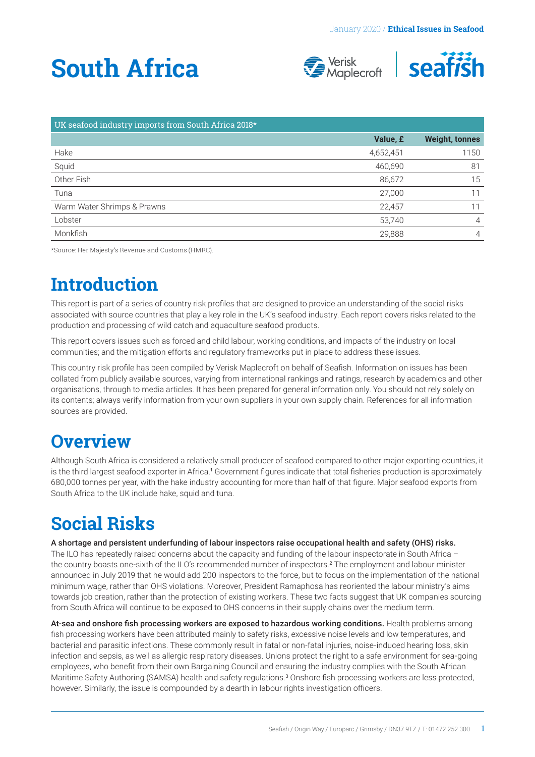# <span id="page-0-0"></span>**South Africa**





| UK seafood industry imports from South Africa 2018* |           |                       |
|-----------------------------------------------------|-----------|-----------------------|
|                                                     | Value, £  | <b>Weight, tonnes</b> |
| Hake                                                | 4,652,451 | 1150                  |
| Squid                                               | 460,690   | 81                    |
| Other Fish                                          | 86,672    | 15                    |
| Tuna                                                | 27,000    |                       |
| Warm Water Shrimps & Prawns                         | 22,457    |                       |
| Lobster                                             | 53,740    | $\overline{4}$        |
| Monkfish                                            | 29.888    | 4                     |

\*Source: Her Majesty's Revenue and Customs (HMRC).

### **Introduction**

This report is part of a series of country risk profiles that are designed to provide an understanding of the social risks associated with source countries that play a key role in the UK's seafood industry. Each report covers risks related to the production and processing of wild catch and aquaculture seafood products.

This report covers issues such as forced and child labour, working conditions, and impacts of the industry on local communities; and the mitigation efforts and regulatory frameworks put in place to address these issues.

This country risk profile has been compiled by Verisk Maplecroft on behalf of Seafish. Information on issues has been collated from publicly available sources, varying from international rankings and ratings, research by academics and other organisations, through to media articles. It has been prepared for general information only. You should not rely solely on its contents; always verify information from your own suppliers in your own supply chain. References for all information sources are provided.

### **Overview**

Although South Africa is considered a relatively small producer of seafood compared to other major exporting countries, it is the third largest seafood exporter in Africa.[1](#page-4-0) Government figures indicate that total fisheries production is approximately 680,000 tonnes per year, with the hake industry accounting for more than half of that figure. Major seafood exports from South Africa to the UK include hake, squid and tuna.

## **Social Risks**

A shortage and persistent underfunding of labour inspectors raise occupational health and safety (OHS) risks.

The ILO has repeatedly raised concerns about the capacity and funding of the labour inspectorate in South Africa – the country boasts one-sixth of the ILO's recommended number of inspectors.[2](#page-4-0) The employment and labour minister announced in July 2019 that he would add 200 inspectors to the force, but to focus on the implementation of the national minimum wage, rather than OHS violations. Moreover, President Ramaphosa has reoriented the labour ministry's aims towards job creation, rather than the protection of existing workers. These two facts suggest that UK companies sourcing from South Africa will continue to be exposed to OHS concerns in their supply chains over the medium term.

At-sea and onshore fish processing workers are exposed to hazardous working conditions. Health problems among fish processing workers have been attributed mainly to safety risks, excessive noise levels and low temperatures, and bacterial and parasitic infections. These commonly result in fatal or non-fatal injuries, noise-induced hearing loss, skin infection and sepsis, as well as allergic respiratory diseases. Unions protect the right to a safe environment for sea-going employees, who benefit from their own Bargaining Council and ensuring the industry complies with the South African Maritime Safety Authoring (SAMSA) health and safety regulations.[3](#page-4-0) Onshore fish processing workers are less protected, however. Similarly, the issue is compounded by a dearth in labour rights investigation officers.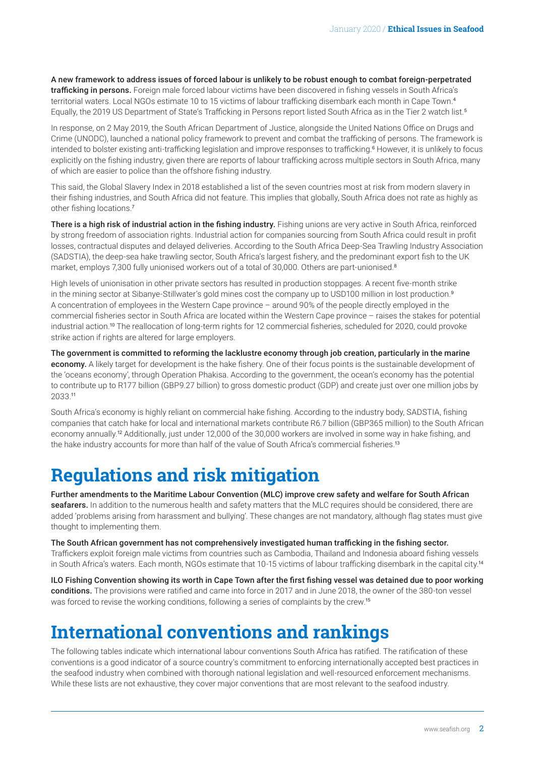<span id="page-1-0"></span>A new framework to address issues of forced labour is unlikely to be robust enough to combat foreign-perpetrated trafficking in persons. Foreign male forced labour victims have been discovered in fishing vessels in South Africa's territorial waters. Local NGOs estimate 10 to 15 victims of labour trafficking disembark each month in Cape Town.<sup>[4](#page-4-0)</sup> Equally, the 2019 US Department of State's Trafficking in Persons report listed South Africa as in the Tier 2 watch list.[5](#page-4-0)

In response, on 2 May 2019, the South African Department of Justice, alongside the United Nations Office on Drugs and Crime (UNODC), launched a national policy framework to prevent and combat the trafficking of persons. The framework is intended to bolster existing anti-trafficking legislation and improve responses to trafficking.<sup>[6](#page-4-0)</sup> However, it is unlikely to focus explicitly on the fishing industry, given there are reports of labour trafficking across multiple sectors in South Africa, many of which are easier to police than the offshore fishing industry.

This said, the Global Slavery Index in 2018 established a list of the seven countries most at risk from modern slavery in their fishing industries, and South Africa did not feature. This implies that globally, South Africa does not rate as highly as other fishing locations.[7](#page-4-0)

There is a high risk of industrial action in the fishing industry. Fishing unions are very active in South Africa, reinforced by strong freedom of association rights. Industrial action for companies sourcing from South Africa could result in profit losses, contractual disputes and delayed deliveries. According to the South Africa Deep-Sea Trawling Industry Association (SADSTIA), the deep-sea hake trawling sector, South Africa's largest fishery, and the predominant export fish to the UK market, employs 7,300 fully unionised workers out of a total of 30,000. Others are part-unionised.[8](#page-4-0)

High levels of unionisation in other private sectors has resulted in production stoppages. A recent five-month strike in the mining sector at Sibanye-Stillwater's gold mines cost the company up to USD100 million in lost production.<sup>[9](#page-4-0)</sup> A concentration of employees in the Western Cape province – around 90% of the people directly employed in the commercial fisheries sector in South Africa are located within the Western Cape province – raises the stakes for potential industrial action.[10](#page-4-0) The reallocation of long-term rights for 12 commercial fisheries, scheduled for 2020, could provoke strike action if rights are altered for large employers.

The government is committed to reforming the lacklustre economy through job creation, particularly in the marine economy. A likely target for development is the hake fishery. One of their focus points is the sustainable development of the 'oceans economy', through Operation Phakisa. According to the government, the ocean's economy has the potential to contribute up to R177 billion (GBP9.27 billion) to gross domestic product (GDP) and create just over one million jobs by 2033.[11](#page-4-0)

South Africa's economy is highly reliant on commercial hake fishing. According to the industry body, SADSTIA, fishing companies that catch hake for local and international markets contribute R6.7 billion (GBP365 million) to the South African economy annually.<sup>[12](#page-4-0)</sup> Additionally, just under 12,000 of the 30,000 workers are involved in some way in hake fishing, and the hake industry accounts for more than half of the value of South Africa's commercial fisheries.[13](#page-4-0)

### **Regulations and risk mitigation**

Further amendments to the Maritime Labour Convention (MLC) improve crew safety and welfare for South African seafarers. In addition to the numerous health and safety matters that the MLC requires should be considered, there are added 'problems arising from harassment and bullying'. These changes are not mandatory, although flag states must give thought to implementing them.

The South African government has not comprehensively investigated human trafficking in the fishing sector. Traffickers exploit foreign male victims from countries such as Cambodia, Thailand and Indonesia aboard fishing vessels in South Africa's waters. Each month, NGOs estimate that 10-15 victims of labour trafficking disembark in the capital city.[14](#page-4-0)

ILO Fishing Convention showing its worth in Cape Town after the first fishing vessel was detained due to poor working conditions. The provisions were ratified and came into force in 2017 and in June 2018, the owner of the 380-ton vessel was forced to revise the working conditions, following a series of complaints by the crew.[15](#page-4-0)

### **International conventions and rankings**

The following tables indicate which international labour conventions South Africa has ratified. The ratification of these conventions is a good indicator of a source country's commitment to enforcing internationally accepted best practices in the seafood industry when combined with thorough national legislation and well-resourced enforcement mechanisms. While these lists are not exhaustive, they cover major conventions that are most relevant to the seafood industry.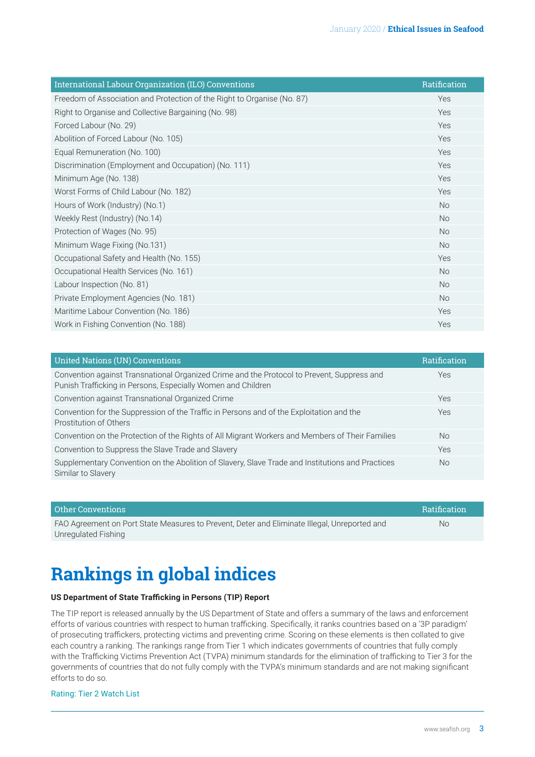| International Labour Organization (ILO) Conventions                     | Ratification |
|-------------------------------------------------------------------------|--------------|
| Freedom of Association and Protection of the Right to Organise (No. 87) | Yes          |
| Right to Organise and Collective Bargaining (No. 98)                    | Yes          |
| Forced Labour (No. 29)                                                  | Yes          |
| Abolition of Forced Labour (No. 105)                                    | Yes          |
| Equal Remuneration (No. 100)                                            | Yes          |
| Discrimination (Employment and Occupation) (No. 111)                    | Yes          |
| Minimum Age (No. 138)                                                   | Yes          |
| Worst Forms of Child Labour (No. 182)                                   | Yes          |
| Hours of Work (Industry) (No.1)                                         | <b>No</b>    |
| Weekly Rest (Industry) (No.14)                                          | <b>No</b>    |
| Protection of Wages (No. 95)                                            | <b>No</b>    |
| Minimum Wage Fixing (No.131)                                            | <b>No</b>    |
| Occupational Safety and Health (No. 155)                                | Yes          |
| Occupational Health Services (No. 161)                                  | <b>No</b>    |
| Labour Inspection (No. 81)                                              | <b>No</b>    |
| Private Employment Agencies (No. 181)                                   | <b>No</b>    |
| Maritime Labour Convention (No. 186)                                    | Yes          |
| Work in Fishing Convention (No. 188)                                    | Yes          |

| United Nations (UN) Conventions                                                                                                                            | <b>Ratification</b> |
|------------------------------------------------------------------------------------------------------------------------------------------------------------|---------------------|
| Convention against Transnational Organized Crime and the Protocol to Prevent, Suppress and<br>Punish Trafficking in Persons, Especially Women and Children | Yes                 |
| Convention against Transnational Organized Crime                                                                                                           | Yes                 |
| Convention for the Suppression of the Traffic in Persons and of the Exploitation and the<br>Prostitution of Others                                         | Yes                 |
| Convention on the Protection of the Rights of All Migrant Workers and Members of Their Families                                                            | <b>No</b>           |
| Convention to Suppress the Slave Trade and Slavery                                                                                                         | Yes                 |
| Supplementary Convention on the Abolition of Slavery, Slave Trade and Institutions and Practices<br>Similar to Slavery                                     | <b>No</b>           |

| Other Conventions                                                                            | Ratification |
|----------------------------------------------------------------------------------------------|--------------|
| FAO Agreement on Port State Measures to Prevent, Deter and Eliminate Illegal, Unreported and | No.          |
| Unregulated Fishing                                                                          |              |

### **Rankings in global indices**

#### **US Department of State Trafficking in Persons (TIP) Report**

The TIP report is released annually by the US Department of State and offers a summary of the laws and enforcement efforts of various countries with respect to human trafficking. Specifically, it ranks countries based on a '3P paradigm' of prosecuting traffickers, protecting victims and preventing crime. Scoring on these elements is then collated to give each country a ranking. The rankings range from Tier 1 which indicates governments of countries that fully comply with the Trafficking Victims Prevention Act (TVPA) minimum standards for the elimination of trafficking to Tier 3 for the governments of countries that do not fully comply with the TVPA's minimum standards and are not making significant efforts to do so.

#### Rating: Tier 2 Watch List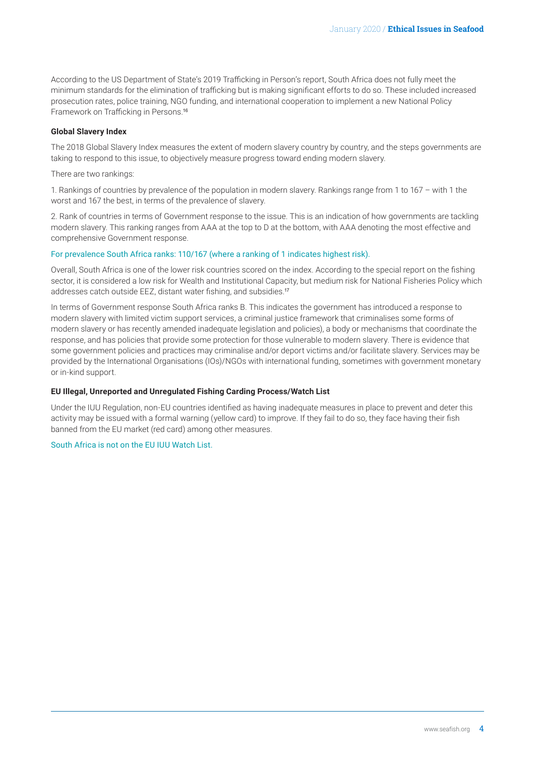<span id="page-3-0"></span>According to the US Department of State's 2019 Trafficking in Person's report, South Africa does not fully meet the minimum standards for the elimination of trafficking but is making significant efforts to do so. These included increased prosecution rates, police training, NGO funding, and international cooperation to implement a new National Policy Framework on Trafficking in Persons.[16](#page-4-0)

#### **Global Slavery Index**

The 2018 Global Slavery Index measures the extent of modern slavery country by country, and the steps governments are taking to respond to this issue, to objectively measure progress toward ending modern slavery.

There are two rankings:

1. Rankings of countries by prevalence of the population in modern slavery. Rankings range from 1 to 167 – with 1 the worst and 167 the best, in terms of the prevalence of slavery.

2. Rank of countries in terms of Government response to the issue. This is an indication of how governments are tackling modern slavery. This ranking ranges from AAA at the top to D at the bottom, with AAA denoting the most effective and comprehensive Government response.

#### For prevalence South Africa ranks: 110/167 (where a ranking of 1 indicates highest risk).

Overall, South Africa is one of the lower risk countries scored on the index. According to the special report on the fishing sector, it is considered a low risk for Wealth and Institutional Capacity, but medium risk for National Fisheries Policy which addresses catch outside EEZ, distant water fishing, and subsidies.[17](#page-4-0)

In terms of Government response South Africa ranks B. This indicates the government has introduced a response to modern slavery with limited victim support services, a criminal justice framework that criminalises some forms of modern slavery or has recently amended inadequate legislation and policies), a body or mechanisms that coordinate the response, and has policies that provide some protection for those vulnerable to modern slavery. There is evidence that some government policies and practices may criminalise and/or deport victims and/or facilitate slavery. Services may be provided by the International Organisations (IOs)/NGOs with international funding, sometimes with government monetary or in-kind support.

#### **EU Illegal, Unreported and Unregulated Fishing Carding Process/Watch List**

Under the IUU Regulation, non-EU countries identified as having inadequate measures in place to prevent and deter this activity may be issued with a formal warning (yellow card) to improve. If they fail to do so, they face having their fish banned from the EU market (red card) among other measures.

South Africa is not on the EU IUU Watch List.